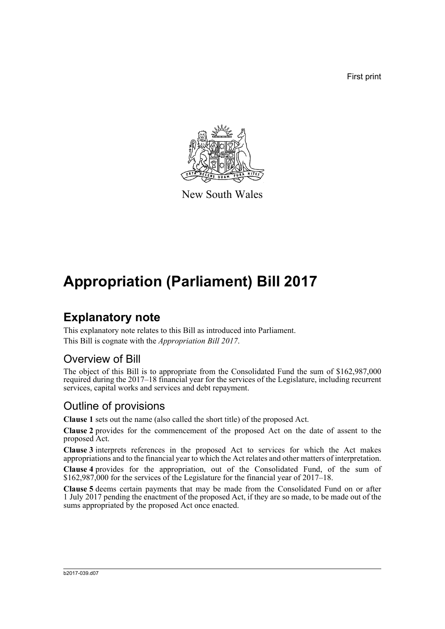First print



New South Wales

# **Appropriation (Parliament) Bill 2017**

### **Explanatory note**

This explanatory note relates to this Bill as introduced into Parliament. This Bill is cognate with the *Appropriation Bill 2017*.

#### Overview of Bill

The object of this Bill is to appropriate from the Consolidated Fund the sum of \$162,987,000 required during the 2017–18 financial year for the services of the Legislature, including recurrent services, capital works and services and debt repayment.

#### Outline of provisions

**Clause 1** sets out the name (also called the short title) of the proposed Act.

**Clause 2** provides for the commencement of the proposed Act on the date of assent to the proposed Act.

**Clause 3** interprets references in the proposed Act to services for which the Act makes appropriations and to the financial year to which the Act relates and other matters of interpretation.

**Clause 4** provides for the appropriation, out of the Consolidated Fund, of the sum of \$162,987,000 for the services of the Legislature for the financial year of 2017–18.

**Clause 5** deems certain payments that may be made from the Consolidated Fund on or after 1 July 2017 pending the enactment of the proposed Act, if they are so made, to be made out of the sums appropriated by the proposed Act once enacted.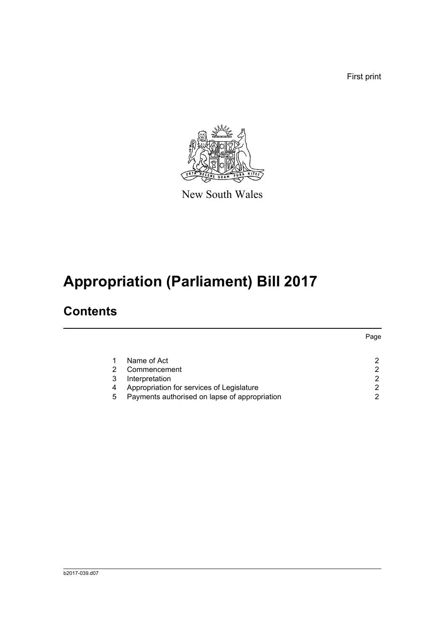First print



New South Wales

# **Appropriation (Parliament) Bill 2017**

### **Contents**

|   |                                               | Page |
|---|-----------------------------------------------|------|
|   | Name of Act                                   |      |
|   | Commencement                                  | 2    |
|   | Interpretation                                | ົ    |
| 4 | Appropriation for services of Legislature     | 2    |
| 5 | Payments authorised on lapse of appropriation | ົ    |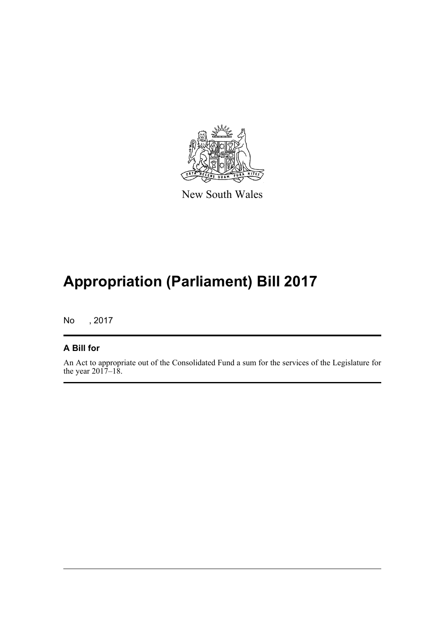

New South Wales

# **Appropriation (Parliament) Bill 2017**

No , 2017

#### **A Bill for**

An Act to appropriate out of the Consolidated Fund a sum for the services of the Legislature for the year  $2017 - 18$ .